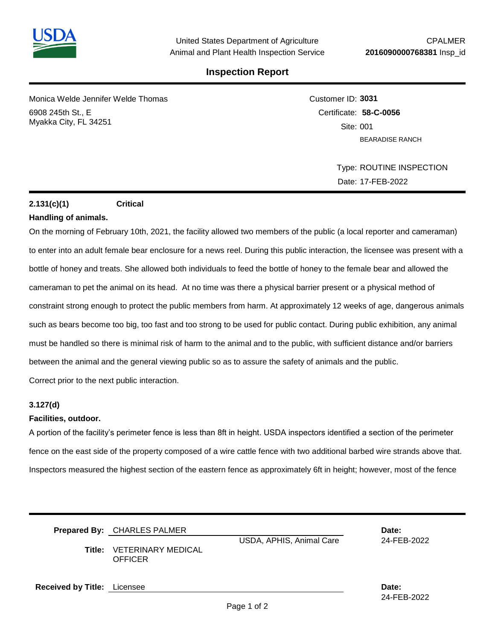

## **Inspection Report**

Monica Welde Jennifer Welde Thomas 6908 245th St., E Myakka City, FL 34251

Customer ID: **3031** Certificate: **58-C-0056**  Site: 001 BEARADISE RANCH

> Type: ROUTINE INSPECTION Date: 17-FEB-2022

### **2.131(c)(1) Critical**

### **Handling of animals.**

On the morning of February 10th, 2021, the facility allowed two members of the public (a local reporter and cameraman) to enter into an adult female bear enclosure for a news reel. During this public interaction, the licensee was present with a bottle of honey and treats. She allowed both individuals to feed the bottle of honey to the female bear and allowed the cameraman to pet the animal on its head. At no time was there a physical barrier present or a physical method of constraint strong enough to protect the public members from harm. At approximately 12 weeks of age, dangerous animals such as bears become too big, too fast and too strong to be used for public contact. During public exhibition, any animal must be handled so there is minimal risk of harm to the animal and to the public, with sufficient distance and/or barriers between the animal and the general viewing public so as to assure the safety of animals and the public. Correct prior to the next public interaction.

#### **3.127(d)**

#### **Facilities, outdoor.**

A portion of the facility's perimeter fence is less than 8ft in height. USDA inspectors identified a section of the perimeter fence on the east side of the property composed of a wire cattle fence with two additional barbed wire strands above that. Inspectors measured the highest section of the eastern fence as approximately 6ft in height; however, most of the fence

|                                    | Prepared By: CHARLES PALMER<br><b>Title: VETERINARY MEDICAL</b><br><b>OFFICER</b> | USDA, APHIS, Animal Care | Date:<br>24-FEB-2022 |
|------------------------------------|-----------------------------------------------------------------------------------|--------------------------|----------------------|
| <b>Received by Title:</b> Licensee |                                                                                   |                          | Date:                |

24-FEB-2022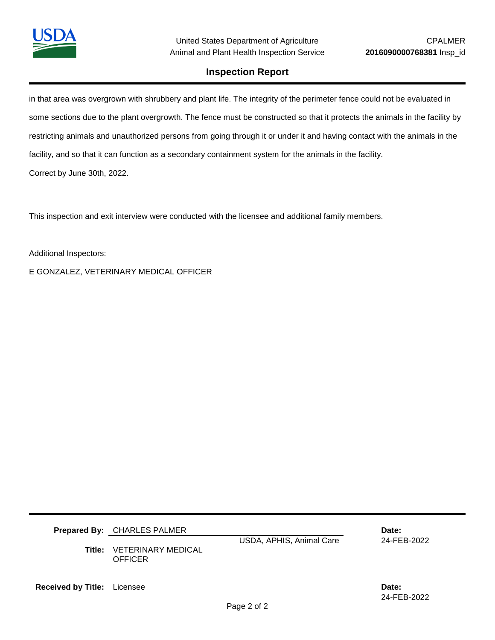

## **Inspection Report**

in that area was overgrown with shrubbery and plant life. The integrity of the perimeter fence could not be evaluated in some sections due to the plant overgrowth. The fence must be constructed so that it protects the animals in the facility by restricting animals and unauthorized persons from going through it or under it and having contact with the animals in the facility, and so that it can function as a secondary containment system for the animals in the facility. Correct by June 30th, 2022.

This inspection and exit interview were conducted with the licensee and additional family members.

Additional Inspectors:

E GONZALEZ, VETERINARY MEDICAL OFFICER

|                             | <b>Prepared By: CHARLES PALMER</b><br><b>Title: VETERINARY MEDICAL</b><br><b>OFFICER</b> | USDA, APHIS, Animal Care | Date:<br>24-FEB-2022 |  |
|-----------------------------|------------------------------------------------------------------------------------------|--------------------------|----------------------|--|
| Received by Title: Licensee |                                                                                          |                          | Date:                |  |